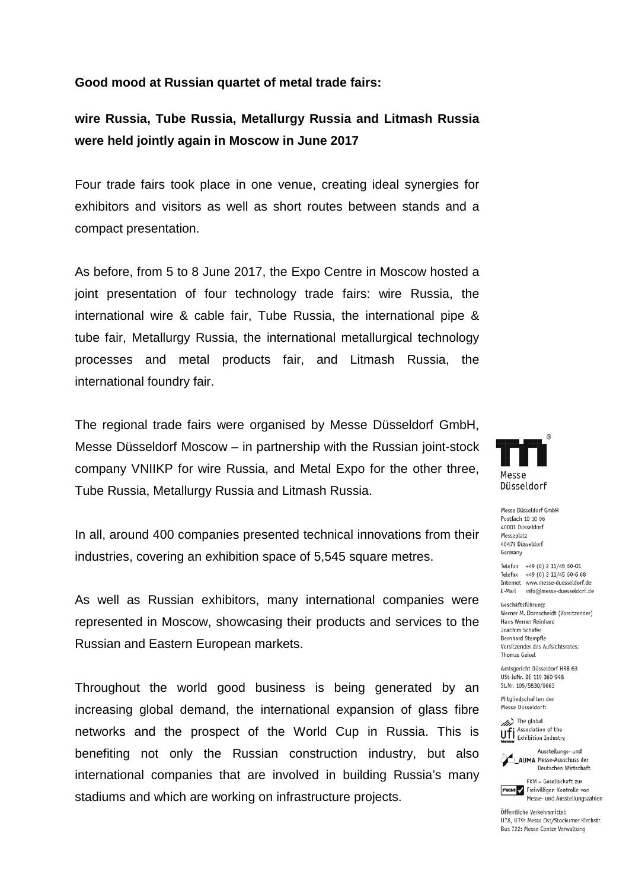## **Good mood at Russian quartet of metal trade fairs:**

## **wire Russia, Tube Russia, Metallurgy Russia and Litmash Russia were held jointly again in Moscow in June 2017**

Four trade fairs took place in one venue, creating ideal synergies for exhibitors and visitors as well as short routes between stands and a compact presentation.

As before, from 5 to 8 June 2017, the Expo Centre in Moscow hosted a joint presentation of four technology trade fairs: wire Russia, the international wire & cable fair, Tube Russia, the international pipe & tube fair, Metallurgy Russia, the international metallurgical technology processes and metal products fair, and Litmash Russia, the international foundry fair.

The regional trade fairs were organised by Messe Düsseldorf GmbH, Messe Düsseldorf Moscow – in partnership with the Russian joint-stock company VNIIKP for wire Russia, and Metal Expo for the other three, Tube Russia, Metallurgy Russia and Litmash Russia.

In all, around 400 companies presented technical innovations from their industries, covering an exhibition space of 5,545 square metres.

As well as Russian exhibitors, many international companies were represented in Moscow, showcasing their products and services to the Russian and Eastern European markets.

Throughout the world good business is being generated by an increasing global demand, the international expansion of glass fibre networks and the prospect of the World Cup in Russia. This is benefiting not only the Russian construction industry, but also international companies that are involved in building Russia's many stadiums and which are working on infrastructure projects.



Messe Düsseldorf GmbH Postfach 10 10 06 40001 Diisseldorf Messenlatz 40474 Düsseldorf Germany

Telefon +49 (0) 2 11/45 60-01 Telefax +49 (0) 2 11/45 60-6 68 Internet www.messe-duesseldorf.de E-Mail info@messe-duesseldorf.de

Geschäftsführung Werner M. Dornscheidt (Vorsitzender) Hans Werner Reinhard Joachim Schäfer **Bernhard Stempfle** Vorsitzender des Aufsichtsrates: **Thomas Geisel** 

Amtsgericht Düsseldorf HRB 63 USt-IdNr, DE 119 360 948 St.Nr. 105/5830/0663

Mitaliedschaften der Messe Düsseldorf:

(b) The global Ufi Association of the



Deutschen Wirtschaft FKM - Gesellschaft zur **FKM** Freiwilligen Kontrolle von

Öffentliche Verkehrsmittel: U78. U79: Messe Ost/Stockumer Kirchstr. Bus 722: Messe-Center Verwaltung

Messe- und Ausstellungszahlen